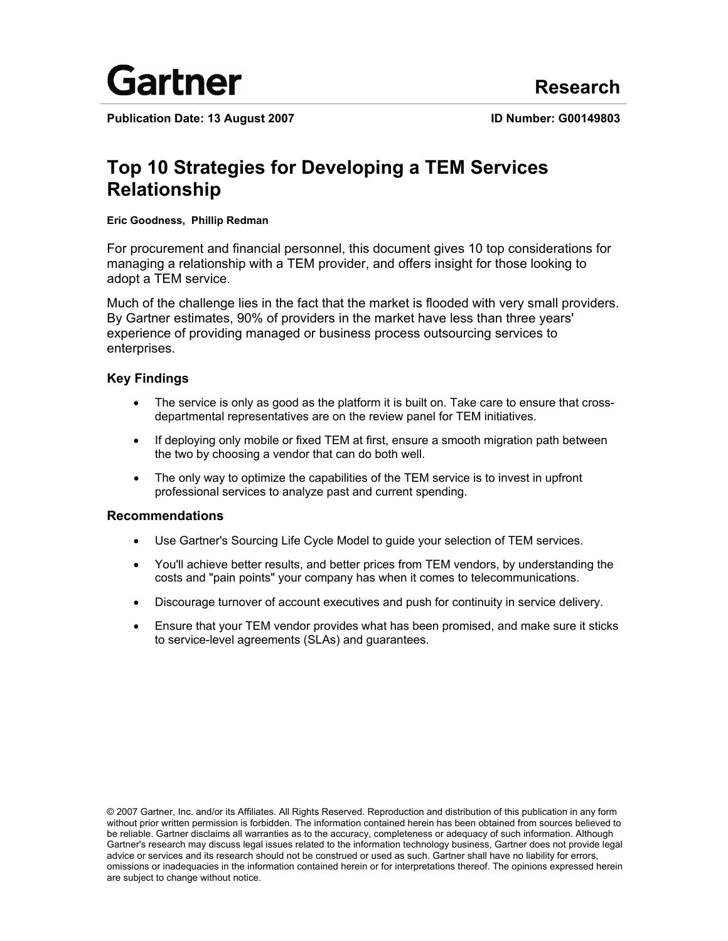

Publication Date: 13 August 2007 **ID Number: G00149803** 

# **Top 10 Strategies for Developing a TEM Services Relationship**

### **Eric Goodness, Phillip Redman**

For procurement and financial personnel, this document gives 10 top considerations for managing a relationship with a TEM provider, and offers insight for those looking to adopt a TEM service.

Much of the challenge lies in the fact that the market is flooded with very small providers. By Gartner estimates, 90% of providers in the market have less than three years' experience of providing managed or business process outsourcing services to enterprises.

### **Key Findings**

- The service is only as good as the platform it is built on. Take care to ensure that crossdepartmental representatives are on the review panel for TEM initiatives.
- If deploying only mobile or fixed TEM at first, ensure a smooth migration path between the two by choosing a vendor that can do both well.
- The only way to optimize the capabilities of the TEM service is to invest in upfront professional services to analyze past and current spending.

### **Recommendations**

- Use Gartner's Sourcing Life Cycle Model to guide your selection of TEM services.
- You'll achieve better results, and better prices from TEM vendors, by understanding the costs and "pain points" your company has when it comes to telecommunications.
- Discourage turnover of account executives and push for continuity in service delivery.
- Ensure that your TEM vendor provides what has been promised, and make sure it sticks to service-level agreements (SLAs) and guarantees.

© 2007 Gartner, Inc. and/or its Affiliates. All Rights Reserved. Reproduction and distribution of this publication in any form without prior written permission is forbidden. The information contained herein has been obtained from sources believed to be reliable. Gartner disclaims all warranties as to the accuracy, completeness or adequacy of such information. Although Gartner's research may discuss legal issues related to the information technology business, Gartner does not provide legal advice or services and its research should not be construed or used as such. Gartner shall have no liability for errors, omissions or inadequacies in the information contained herein or for interpretations thereof. The opinions expressed herein are subject to change without notice.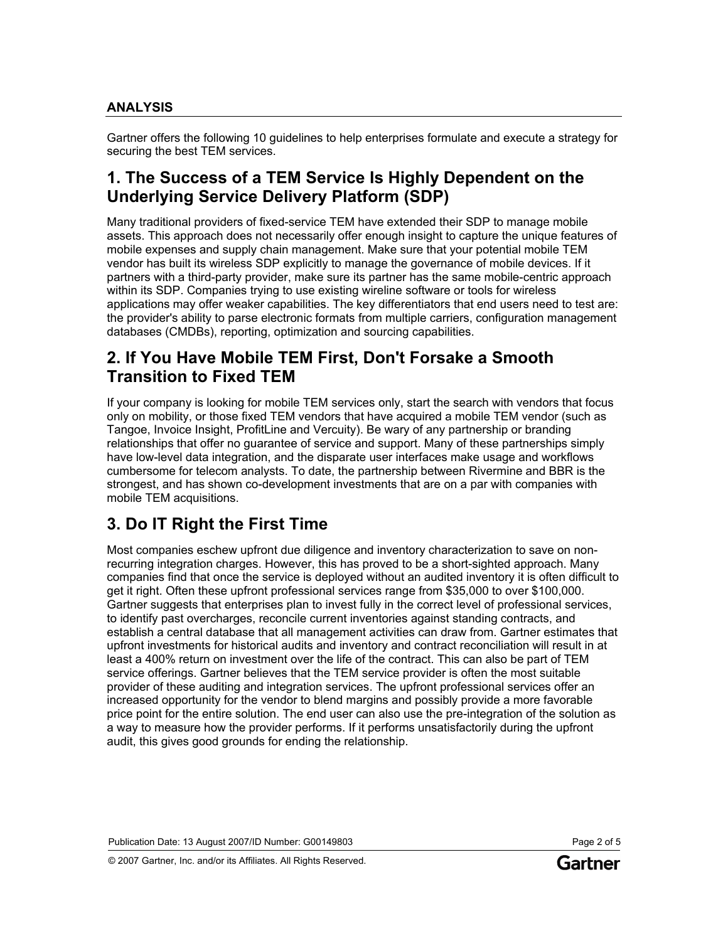### **ANALYSIS**

Gartner offers the following 10 guidelines to help enterprises formulate and execute a strategy for securing the best TEM services.

## **1. The Success of a TEM Service Is Highly Dependent on the Underlying Service Delivery Platform (SDP)**

Many traditional providers of fixed-service TEM have extended their SDP to manage mobile assets. This approach does not necessarily offer enough insight to capture the unique features of mobile expenses and supply chain management. Make sure that your potential mobile TEM vendor has built its wireless SDP explicitly to manage the governance of mobile devices. If it partners with a third-party provider, make sure its partner has the same mobile-centric approach within its SDP. Companies trying to use existing wireline software or tools for wireless applications may offer weaker capabilities. The key differentiators that end users need to test are: the provider's ability to parse electronic formats from multiple carriers, configuration management databases (CMDBs), reporting, optimization and sourcing capabilities.

## **2. If You Have Mobile TEM First, Don't Forsake a Smooth Transition to Fixed TEM**

If your company is looking for mobile TEM services only, start the search with vendors that focus only on mobility, or those fixed TEM vendors that have acquired a mobile TEM vendor (such as Tangoe, Invoice Insight, ProfitLine and Vercuity). Be wary of any partnership or branding relationships that offer no guarantee of service and support. Many of these partnerships simply have low-level data integration, and the disparate user interfaces make usage and workflows cumbersome for telecom analysts. To date, the partnership between Rivermine and BBR is the strongest, and has shown co-development investments that are on a par with companies with mobile TEM acquisitions.

## **3. Do IT Right the First Time**

Most companies eschew upfront due diligence and inventory characterization to save on nonrecurring integration charges. However, this has proved to be a short-sighted approach. Many companies find that once the service is deployed without an audited inventory it is often difficult to get it right. Often these upfront professional services range from \$35,000 to over \$100,000. Gartner suggests that enterprises plan to invest fully in the correct level of professional services, to identify past overcharges, reconcile current inventories against standing contracts, and establish a central database that all management activities can draw from. Gartner estimates that upfront investments for historical audits and inventory and contract reconciliation will result in at least a 400% return on investment over the life of the contract. This can also be part of TEM service offerings. Gartner believes that the TEM service provider is often the most suitable provider of these auditing and integration services. The upfront professional services offer an increased opportunity for the vendor to blend margins and possibly provide a more favorable price point for the entire solution. The end user can also use the pre-integration of the solution as a way to measure how the provider performs. If it performs unsatisfactorily during the upfront audit, this gives good grounds for ending the relationship.

Publication Date: 13 August 2007/ID Number: G00149803 Page 2 of 5

© 2007 Gartner, Inc. and/or its Affiliates. All Rights Reserved.

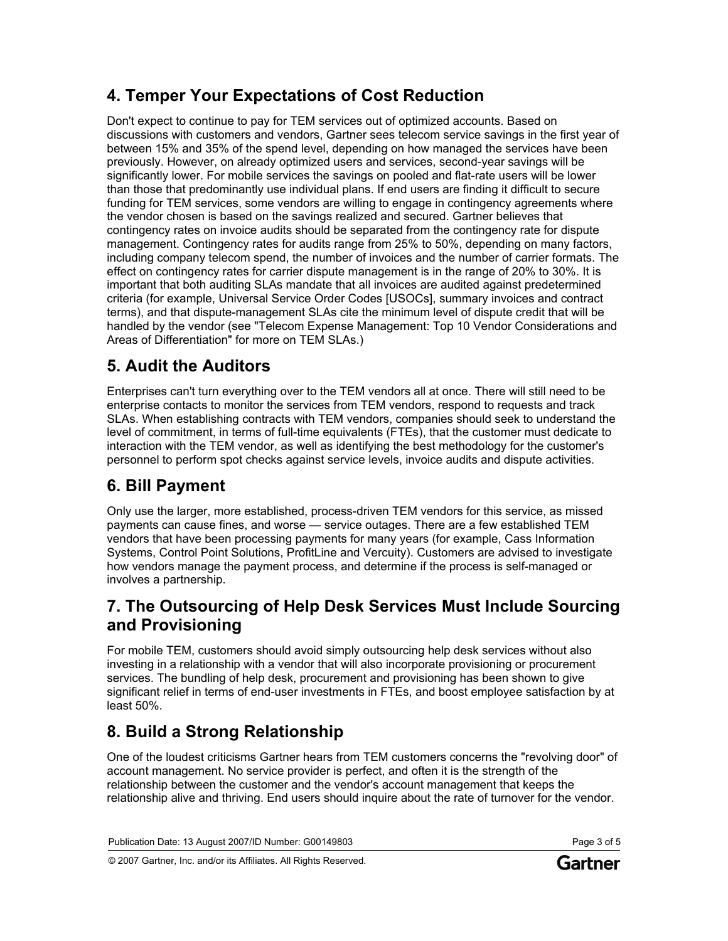# **4. Temper Your Expectations of Cost Reduction**

Don't expect to continue to pay for TEM services out of optimized accounts. Based on discussions with customers and vendors, Gartner sees telecom service savings in the first year of between 15% and 35% of the spend level, depending on how managed the services have been previously. However, on already optimized users and services, second-year savings will be significantly lower. For mobile services the savings on pooled and flat-rate users will be lower than those that predominantly use individual plans. If end users are finding it difficult to secure funding for TEM services, some vendors are willing to engage in contingency agreements where the vendor chosen is based on the savings realized and secured. Gartner believes that contingency rates on invoice audits should be separated from the contingency rate for dispute management. Contingency rates for audits range from 25% to 50%, depending on many factors, including company telecom spend, the number of invoices and the number of carrier formats. The effect on contingency rates for carrier dispute management is in the range of 20% to 30%. It is important that both auditing SLAs mandate that all invoices are audited against predetermined criteria (for example, Universal Service Order Codes [USOCs], summary invoices and contract terms), and that dispute-management SLAs cite the minimum level of dispute credit that will be handled by the vendor (see "Telecom Expense Management: Top 10 Vendor Considerations and Areas of Differentiation" for more on TEM SLAs.)

# **5. Audit the Auditors**

Enterprises can't turn everything over to the TEM vendors all at once. There will still need to be enterprise contacts to monitor the services from TEM vendors, respond to requests and track SLAs. When establishing contracts with TEM vendors, companies should seek to understand the level of commitment, in terms of full-time equivalents (FTEs), that the customer must dedicate to interaction with the TEM vendor, as well as identifying the best methodology for the customer's personnel to perform spot checks against service levels, invoice audits and dispute activities.

# **6. Bill Payment**

Only use the larger, more established, process-driven TEM vendors for this service, as missed payments can cause fines, and worse — service outages. There are a few established TEM vendors that have been processing payments for many years (for example, Cass Information Systems, Control Point Solutions, ProfitLine and Vercuity). Customers are advised to investigate how vendors manage the payment process, and determine if the process is self-managed or involves a partnership.

## **7. The Outsourcing of Help Desk Services Must Include Sourcing and Provisioning**

For mobile TEM, customers should avoid simply outsourcing help desk services without also investing in a relationship with a vendor that will also incorporate provisioning or procurement services. The bundling of help desk, procurement and provisioning has been shown to give significant relief in terms of end-user investments in FTEs, and boost employee satisfaction by at least 50%.

# **8. Build a Strong Relationship**

One of the loudest criticisms Gartner hears from TEM customers concerns the "revolving door" of account management. No service provider is perfect, and often it is the strength of the relationship between the customer and the vendor's account management that keeps the relationship alive and thriving. End users should inquire about the rate of turnover for the vendor.

© 2007 Gartner, Inc. and/or its Affiliates. All Rights Reserved.

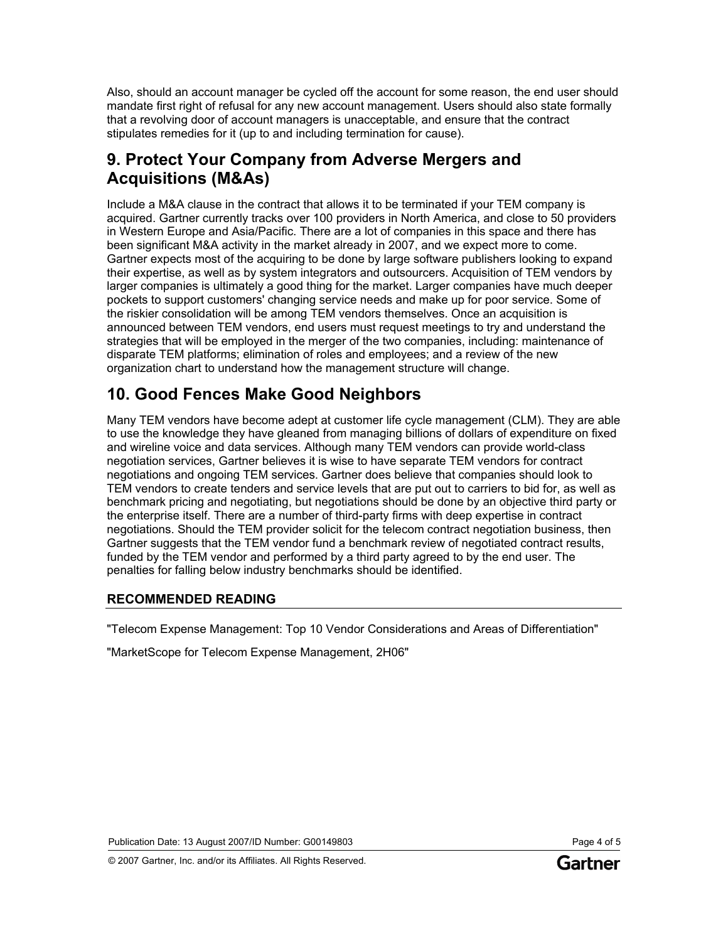Also, should an account manager be cycled off the account for some reason, the end user should mandate first right of refusal for any new account management. Users should also state formally that a revolving door of account managers is unacceptable, and ensure that the contract stipulates remedies for it (up to and including termination for cause).

## **9. Protect Your Company from Adverse Mergers and Acquisitions (M&As)**

Include a M&A clause in the contract that allows it to be terminated if your TEM company is acquired. Gartner currently tracks over 100 providers in North America, and close to 50 providers in Western Europe and Asia/Pacific. There are a lot of companies in this space and there has been significant M&A activity in the market already in 2007, and we expect more to come. Gartner expects most of the acquiring to be done by large software publishers looking to expand their expertise, as well as by system integrators and outsourcers. Acquisition of TEM vendors by larger companies is ultimately a good thing for the market. Larger companies have much deeper pockets to support customers' changing service needs and make up for poor service. Some of the riskier consolidation will be among TEM vendors themselves. Once an acquisition is announced between TEM vendors, end users must request meetings to try and understand the strategies that will be employed in the merger of the two companies, including: maintenance of disparate TEM platforms; elimination of roles and employees; and a review of the new organization chart to understand how the management structure will change.

## **10. Good Fences Make Good Neighbors**

Many TEM vendors have become adept at customer life cycle management (CLM). They are able to use the knowledge they have gleaned from managing billions of dollars of expenditure on fixed and wireline voice and data services. Although many TEM vendors can provide world-class negotiation services, Gartner believes it is wise to have separate TEM vendors for contract negotiations and ongoing TEM services. Gartner does believe that companies should look to TEM vendors to create tenders and service levels that are put out to carriers to bid for, as well as benchmark pricing and negotiating, but negotiations should be done by an objective third party or the enterprise itself. There are a number of third-party firms with deep expertise in contract negotiations. Should the TEM provider solicit for the telecom contract negotiation business, then Gartner suggests that the TEM vendor fund a benchmark review of negotiated contract results, funded by the TEM vendor and performed by a third party agreed to by the end user. The penalties for falling below industry benchmarks should be identified.

### **RECOMMENDED READING**

"Telecom Expense Management: Top 10 Vendor Considerations and Areas of Differentiation"

"MarketScope for Telecom Expense Management, 2H06"